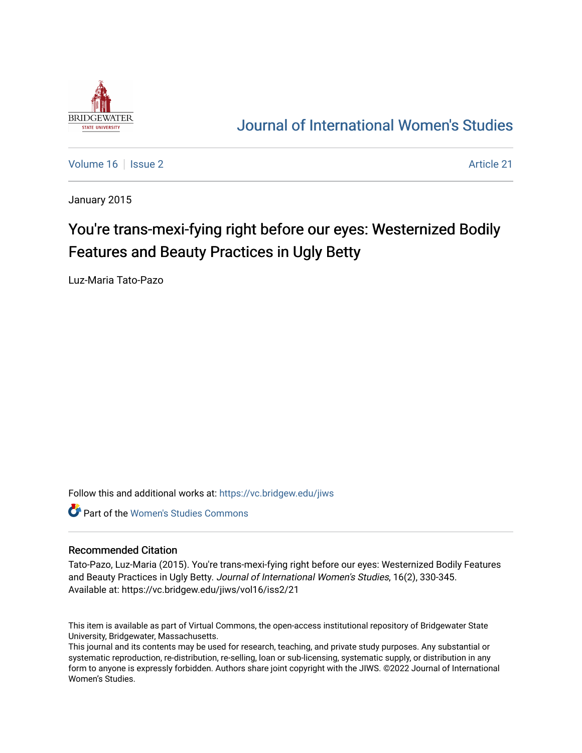

## [Journal of International Women's Studies](https://vc.bridgew.edu/jiws)

[Volume 16](https://vc.bridgew.edu/jiws/vol16) September 2 Article 21

January 2015

# You're trans-mexi-fying right before our eyes: Westernized Bodily Features and Beauty Practices in Ugly Betty

Luz-Maria Tato-Pazo

Follow this and additional works at: [https://vc.bridgew.edu/jiws](https://vc.bridgew.edu/jiws?utm_source=vc.bridgew.edu%2Fjiws%2Fvol16%2Fiss2%2F21&utm_medium=PDF&utm_campaign=PDFCoverPages)

**C** Part of the Women's Studies Commons

#### Recommended Citation

Tato-Pazo, Luz-Maria (2015). You're trans-mexi-fying right before our eyes: Westernized Bodily Features and Beauty Practices in Ugly Betty. Journal of International Women's Studies, 16(2), 330-345. Available at: https://vc.bridgew.edu/jiws/vol16/iss2/21

This item is available as part of Virtual Commons, the open-access institutional repository of Bridgewater State University, Bridgewater, Massachusetts.

This journal and its contents may be used for research, teaching, and private study purposes. Any substantial or systematic reproduction, re-distribution, re-selling, loan or sub-licensing, systematic supply, or distribution in any form to anyone is expressly forbidden. Authors share joint copyright with the JIWS. ©2022 Journal of International Women's Studies.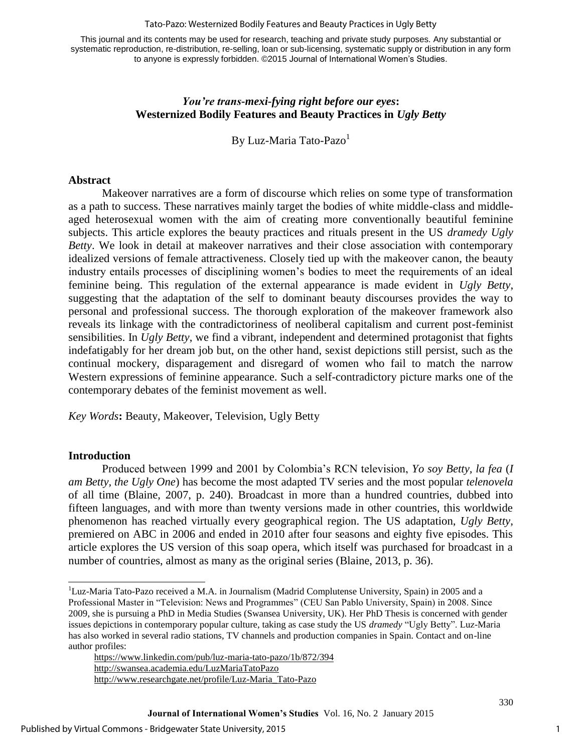#### Tato-Pazo: Westernized Bodily Features and Beauty Practices in Ugly Betty

This journal and its contents may be used for research, teaching and private study purposes. Any substantial or systematic reproduction, re-distribution, re-selling, loan or sub-licensing, systematic supply or distribution in any form to anyone is expressly forbidden. ©2015 Journal of International Women's Studies.

### *You're trans-mexi-fying right before our eyes***: Westernized Bodily Features and Beauty Practices in** *Ugly Betty*

By Luz-Maria Tato-Pazo<sup>1</sup>

#### **Abstract**

Makeover narratives are a form of discourse which relies on some type of transformation as a path to success. These narratives mainly target the bodies of white middle-class and middleaged heterosexual women with the aim of creating more conventionally beautiful feminine subjects. This article explores the beauty practices and rituals present in the US *dramedy Ugly Betty*. We look in detail at makeover narratives and their close association with contemporary idealized versions of female attractiveness. Closely tied up with the makeover canon, the beauty industry entails processes of disciplining women's bodies to meet the requirements of an ideal feminine being. This regulation of the external appearance is made evident in *Ugly Betty*, suggesting that the adaptation of the self to dominant beauty discourses provides the way to personal and professional success. The thorough exploration of the makeover framework also reveals its linkage with the contradictoriness of neoliberal capitalism and current post-feminist sensibilities. In *Ugly Betty*, we find a vibrant, independent and determined protagonist that fights indefatigably for her dream job but, on the other hand, sexist depictions still persist, such as the continual mockery, disparagement and disregard of women who fail to match the narrow Western expressions of feminine appearance. Such a self-contradictory picture marks one of the contemporary debates of the feminist movement as well.

*Key Words***:** Beauty, Makeover, Television, Ugly Betty

### **Introduction**

l

Produced between 1999 and 2001 by Colombia's RCN television, *Yo soy Betty, la fea* (*I am Betty, the Ugly One*) has become the most adapted TV series and the most popular *telenovela* of all time [\(Blaine, 2007, p. 240\)](#page-15-0). Broadcast in more than a hundred countries, dubbed into fifteen languages, and with more than twenty versions made in other countries, this worldwide phenomenon has reached virtually every geographical region. The US adaptation, *Ugly Betty*, premiered on ABC in 2006 and ended in 2010 after four seasons and eighty five episodes. This article explores the US version of this soap opera, which itself was purchased for broadcast in a number of countries, almost as many as the original series [\(Blaine, 2013, p. 36\)](#page-15-1).

<sup>&</sup>lt;sup>1</sup>Luz-Maria Tato-Pazo received a M.A. in Journalism (Madrid Complutense University, Spain) in 2005 and a Professional Master in "Television: News and Programmes" (CEU San Pablo University, Spain) in 2008. Since 2009, she is pursuing a PhD in Media Studies (Swansea University, UK). Her PhD Thesis is concerned with gender issues depictions in contemporary popular culture, taking as case study the US *dramedy* "Ugly Betty". Luz-Maria has also worked in several radio stations, TV channels and production companies in Spain. Contact and on-line author profiles: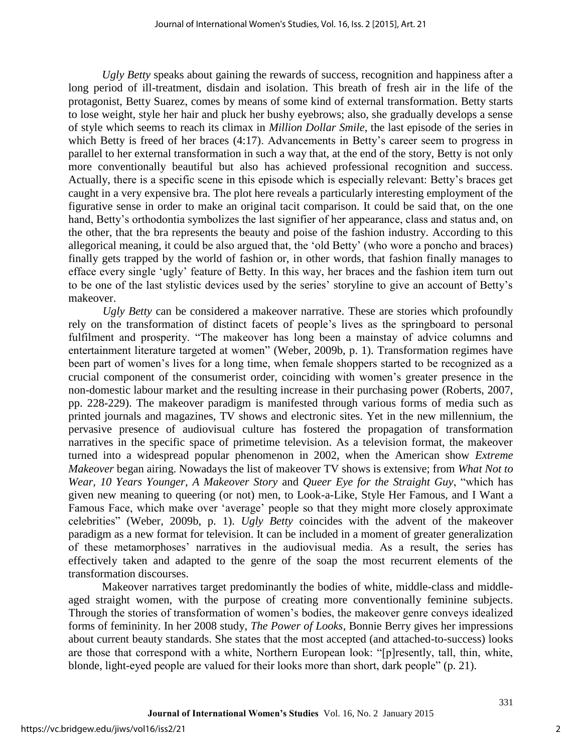*Ugly Betty* speaks about gaining the rewards of success, recognition and happiness after a long period of ill-treatment, disdain and isolation. This breath of fresh air in the life of the protagonist, Betty Suarez, comes by means of some kind of external transformation. Betty starts to lose weight, style her hair and pluck her bushy eyebrows; also, she gradually develops a sense of style which seems to reach its climax in *Million Dollar Smile*, the last episode of the series in which Betty is freed of her braces (4:17). Advancements in Betty's career seem to progress in parallel to her external transformation in such a way that, at the end of the story, Betty is not only more conventionally beautiful but also has achieved professional recognition and success. Actually, there is a specific scene in this episode which is especially relevant: Betty's braces get caught in a very expensive bra. The plot here reveals a particularly interesting employment of the figurative sense in order to make an original tacit comparison. It could be said that, on the one hand, Betty's orthodontia symbolizes the last signifier of her appearance, class and status and, on the other, that the bra represents the beauty and poise of the fashion industry. According to this allegorical meaning, it could be also argued that, the 'old Betty' (who wore a poncho and braces) finally gets trapped by the world of fashion or, in other words, that fashion finally manages to efface every single 'ugly' feature of Betty. In this way, her braces and the fashion item turn out to be one of the last stylistic devices used by the series' storyline to give an account of Betty's makeover.

*Ugly Betty* can be considered a makeover narrative. These are stories which profoundly rely on the transformation of distinct facets of people's lives as the springboard to personal fulfilment and prosperity. "The makeover has long been a mainstay of advice columns and entertainment literature targeted at women" [\(Weber, 2009b, p. 1\)](#page-16-0). Transformation regimes have been part of women's lives for a long time, when female shoppers started to be recognized as a crucial component of the consumerist order, coinciding with women's greater presence in the non-domestic labour market and the resulting increase in their purchasing power [\(Roberts, 2007,](#page-16-1)  [pp. 228-229\)](#page-16-1). The makeover paradigm is manifested through various forms of media such as printed journals and magazines, TV shows and electronic sites. Yet in the new millennium, the pervasive presence of audiovisual culture has fostered the propagation of transformation narratives in the specific space of primetime television. As a television format, the makeover turned into a widespread popular phenomenon in 2002, when the American show *Extreme Makeover* began airing. Nowadays the list of makeover TV shows is extensive; from *What Not to Wear, 10 Years Younger*, *A Makeover Story* and *Queer Eye for the Straight Guy*, "which has given new meaning to queering (or not) men, to Look-a-Like, Style Her Famous, and I Want a Famous Face, which make over 'average' people so that they might more closely approximate celebrities" [\(Weber, 2009b, p. 1\)](#page-16-0). *Ugly Betty* coincides with the advent of the makeover paradigm as a new format for television. It can be included in a moment of greater generalization of these metamorphoses' narratives in the audiovisual media. As a result, the series has effectively taken and adapted to the genre of the soap the most recurrent elements of the transformation discourses.

Makeover narratives target predominantly the bodies of white, middle-class and middleaged straight women, with the purpose of creating more conventionally feminine subjects. Through the stories of transformation of women's bodies, the makeover genre conveys idealized forms of femininity. In her 2008 study, *The Power of Looks*, Bonnie Berry gives her impressions about current beauty standards. She states that the most accepted (and attached-to-success) looks are those that correspond with a white, Northern European look: "[p]resently, tall, thin, white, blonde, light-eyed people are valued for their looks more than short, dark people" [\(p. 21\)](#page-15-2).

2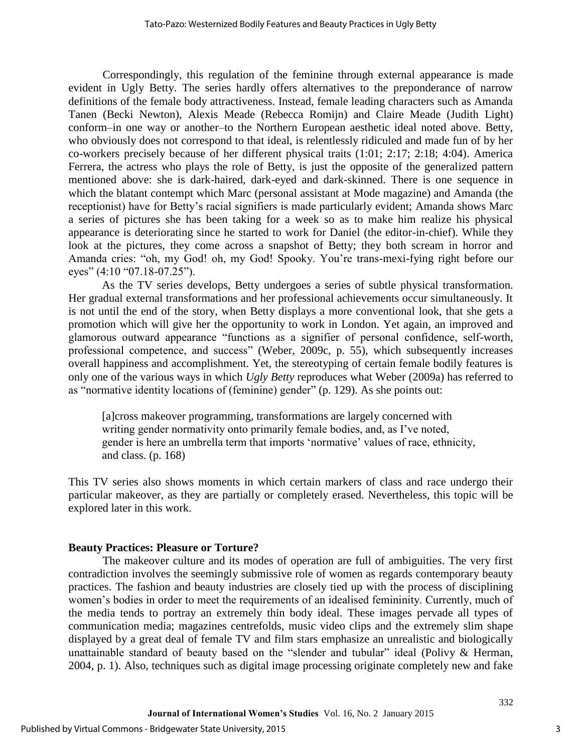Correspondingly, this regulation of the feminine through external appearance is made evident in Ugly Betty. The series hardly offers alternatives to the preponderance of narrow definitions of the female body attractiveness. Instead, female leading characters such as Amanda Tanen [\(Becki Newton\)](http://es.wikipedia.org/wiki/Becki_Newton), Alexis Meade [\(Rebecca Romijn\)](http://es.wikipedia.org/wiki/Rebecca_Romijn) and Claire Meade [\(Judith Light\)](http://es.wikipedia.org/w/index.php?title=Judith_Light&action=edit&redlink=1) conform–in one way or another–to the Northern European aesthetic ideal noted above. Betty, who obviously does not correspond to that ideal, is relentlessly ridiculed and made fun of by her co-workers precisely because of her different physical traits (1:01; 2:17; 2:18; 4:04). America Ferrera, the actress who plays the role of Betty, is just the opposite of the generalized pattern mentioned above: she is dark-haired, dark-eyed and dark-skinned. There is one sequence in which the blatant contempt which Marc (personal assistant at Mode magazine) and Amanda (the receptionist) have for Betty's racial signifiers is made particularly evident; Amanda shows Marc a series of pictures she has been taking for a week so as to make him realize his physical appearance is deteriorating since he started to work for Daniel (the editor-in-chief). While they look at the pictures, they come across a snapshot of Betty; they both scream in horror and Amanda cries: "oh, my God! oh, my God! Spooky. You're trans-mexi-fying right before our eyes" (4:10 "07.18-07.25").

As the TV series develops, Betty undergoes a series of subtle physical transformation. Her gradual external transformations and her professional achievements occur simultaneously. It is not until the end of the story, when Betty displays a more conventional look, that she gets a promotion which will give her the opportunity to work in London. Yet again, an improved and glamorous outward appearance "functions as a signifier of personal confidence, self-worth, professional competence, and success" [\(Weber, 2009c, p. 55\)](#page-16-2), which subsequently increases overall happiness and accomplishment. Yet, the stereotyping of certain female bodily features is only one of the various ways in which *Ugly Betty* reproduces what Weber [\(2009a\)](#page-16-3) has referred to as "normative identity locations of (feminine) gender" [\(p. 129\)](#page-16-3). As she points out:

[a]cross makeover programming, transformations are largely concerned with writing gender normativity onto primarily female bodies, and, as I've noted, gender is here an umbrella term that imports 'normative' values of race, ethnicity, and class. [\(p. 168\)](#page-16-3)

This TV series also shows moments in which certain markers of class and race undergo their particular makeover, as they are partially or completely erased. Nevertheless, this topic will be explored later in this work.

#### **Beauty Practices: Pleasure or Torture?**

The makeover culture and its modes of operation are full of ambiguities. The very first contradiction involves the seemingly submissive role of women as regards contemporary beauty practices. The fashion and beauty industries are closely tied up with the process of disciplining women's bodies in order to meet the requirements of an idealised femininity. Currently, much of the media tends to portray an extremely thin body ideal. These images pervade all types of communication media; magazines centrefolds, music video clips and the extremely slim shape displayed by a great deal of female TV and film stars emphasize an unrealistic and biologically unattainable standard of beauty based on the "slender and tubular" ideal (Polivy & Herman, [2004, p. 1\)](#page-16-4). Also, techniques such as digital image processing originate completely new and fake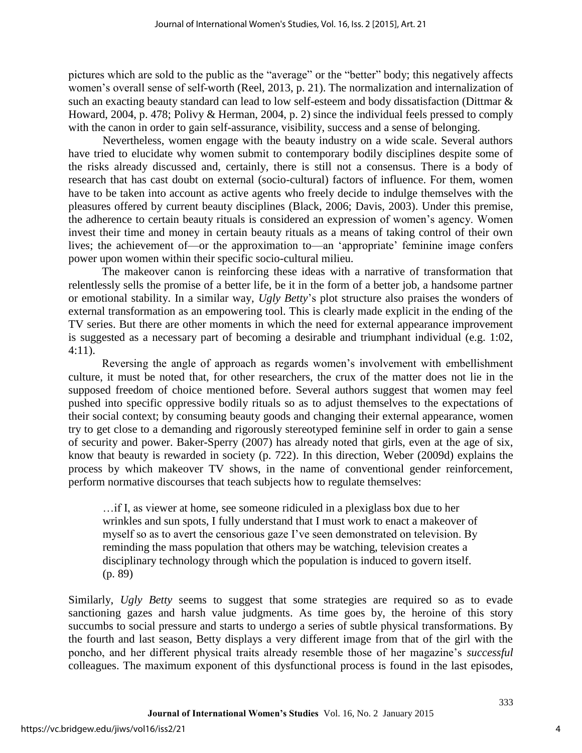pictures which are sold to the public as the "average" or the "better" body; this negatively affects women's overall sense of self-worth [\(Reel, 2013, p. 21\)](#page-16-5). The normalization and internalization of such an exacting beauty standard can lead to low self-esteem and body dissatisfaction [\(Dittmar &](#page-15-3)  [Howard, 2004, p. 478;](#page-15-3) [Polivy & Herman, 2004, p. 2\)](#page-16-4) since the individual feels pressed to comply with the canon in order to gain self-assurance, visibility, success and a sense of belonging.

Nevertheless, women engage with the beauty industry on a wide scale. Several authors have tried to elucidate why women submit to contemporary bodily disciplines despite some of the risks already discussed and, certainly, there is still not a consensus. There is a body of research that has cast doubt on external (socio-cultural) factors of influence. For them, women have to be taken into account as active agents who freely decide to indulge themselves with the pleasures offered by current beauty disciplines [\(Black, 2006;](#page-15-4) [Davis, 2003\)](#page-15-5). Under this premise, the adherence to certain beauty rituals is considered an expression of women's agency. Women invest their time and money in certain beauty rituals as a means of taking control of their own lives; the achievement of—or the approximation to—an 'appropriate' feminine image confers power upon women within their specific socio-cultural milieu.

The makeover canon is reinforcing these ideas with a narrative of transformation that relentlessly sells the promise of a better life, be it in the form of a better job, a handsome partner or emotional stability. In a similar way, *Ugly Betty*'s plot structure also praises the wonders of external transformation as an empowering tool. This is clearly made explicit in the ending of the TV series. But there are other moments in which the need for external appearance improvement is suggested as a necessary part of becoming a desirable and triumphant individual (e.g. 1:02, 4:11).

Reversing the angle of approach as regards women's involvement with embellishment culture, it must be noted that, for other researchers, the crux of the matter does not lie in the supposed freedom of choice mentioned before. Several authors suggest that women may feel pushed into specific oppressive bodily rituals so as to adjust themselves to the expectations of their social context; by consuming beauty goods and changing their external appearance, women try to get close to a demanding and rigorously stereotyped feminine self in order to gain a sense of security and power. Baker-Sperry [\(2007\)](#page-15-6) has already noted that girls, even at the age of six, know that beauty is rewarded in society [\(p. 722\)](#page-15-6). In this direction, Weber [\(2009d\)](#page-16-6) explains the process by which makeover TV shows, in the name of conventional gender reinforcement, perform normative discourses that teach subjects how to regulate themselves:

…if I, as viewer at home, see someone ridiculed in a plexiglass box due to her wrinkles and sun spots, I fully understand that I must work to enact a makeover of myself so as to avert the censorious gaze I've seen demonstrated on television. By reminding the mass population that others may be watching, television creates a disciplinary technology through which the population is induced to govern itself. [\(p. 89\)](#page-16-6)

Similarly, *Ugly Betty* seems to suggest that some strategies are required so as to evade sanctioning gazes and harsh value judgments. As time goes by, the heroine of this story succumbs to social pressure and starts to undergo a series of subtle physical transformations. By the fourth and last season, Betty displays a very different image from that of the girl with the poncho, and her different physical traits already resemble those of her magazine's *successful* colleagues. The maximum exponent of this dysfunctional process is found in the last episodes,

4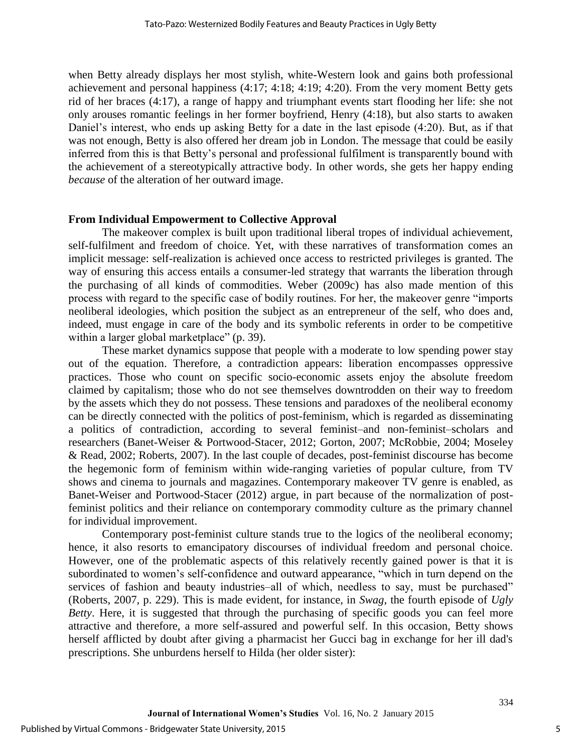when Betty already displays her most stylish, white-Western look and gains both professional achievement and personal happiness (4:17; 4:18; 4:19; 4:20). From the very moment Betty gets rid of her braces (4:17), a range of happy and triumphant events start flooding her life: she not only arouses romantic feelings in her former boyfriend, Henry (4:18), but also starts to awaken Daniel's interest, who ends up asking Betty for a date in the last episode (4:20). But, as if that was not enough, Betty is also offered her dream job in London. The message that could be easily inferred from this is that Betty's personal and professional fulfilment is transparently bound with the achievement of a stereotypically attractive body. In other words, she gets her happy ending *because* of the alteration of her outward image.

#### **From Individual Empowerment to Collective Approval**

The makeover complex is built upon traditional liberal tropes of individual achievement, self-fulfilment and freedom of choice. Yet, with these narratives of transformation comes an implicit message: self-realization is achieved once access to restricted privileges is granted. The way of ensuring this access entails a consumer-led strategy that warrants the liberation through the purchasing of all kinds of commodities. Weber [\(2009c\)](#page-16-2) has also made mention of this process with regard to the specific case of bodily routines. For her, the makeover genre "imports neoliberal ideologies, which position the subject as an entrepreneur of the self, who does and, indeed, must engage in care of the body and its symbolic referents in order to be competitive within a larger global marketplace" [\(p. 39\)](#page-16-2).

These market dynamics suppose that people with a moderate to low spending power stay out of the equation. Therefore, a contradiction appears: liberation encompasses oppressive practices. Those who count on specific socio-economic assets enjoy the absolute freedom claimed by capitalism; those who do not see themselves downtrodden on their way to freedom by the assets which they do not possess. These tensions and paradoxes of the neoliberal economy can be directly connected with the politics of post-feminism, which is regarded as disseminating a politics of contradiction, according to several feminist–and non-feminist–scholars and researchers [\(Banet-Weiser & Portwood-Stacer, 2012;](#page-15-7) [Gorton, 2007;](#page-15-8) [McRobbie, 2004;](#page-15-9) [Moseley](#page-16-7)  [& Read, 2002;](#page-16-7) [Roberts, 2007\)](#page-16-1). In the last couple of decades, post-feminist discourse has become the hegemonic form of feminism within wide-ranging varieties of popular culture, from TV shows and cinema to journals and magazines. Contemporary makeover TV genre is enabled, as Banet-Weiser and Portwood-Stacer [\(2012\)](#page-15-7) argue, in part because of the normalization of postfeminist politics and their reliance on contemporary commodity culture as the primary channel for individual improvement.

Contemporary post-feminist culture stands true to the logics of the neoliberal economy; hence, it also resorts to emancipatory discourses of individual freedom and personal choice. However, one of the problematic aspects of this relatively recently gained power is that it is subordinated to women's self-confidence and outward appearance, "which in turn depend on the services of fashion and beauty industries–all of which, needless to say, must be purchased" [\(Roberts, 2007, p. 229\)](#page-16-1). This is made evident, for instance, in *Swag*, the fourth episode of *Ugly Betty*. Here, it is suggested that through the purchasing of specific goods you can feel more attractive and therefore, a more self-assured and powerful self. In this occasion, Betty shows herself afflicted by doubt after giving a pharmacist her Gucci bag in exchange for her ill dad's prescriptions. She unburdens herself to Hilda (her older sister):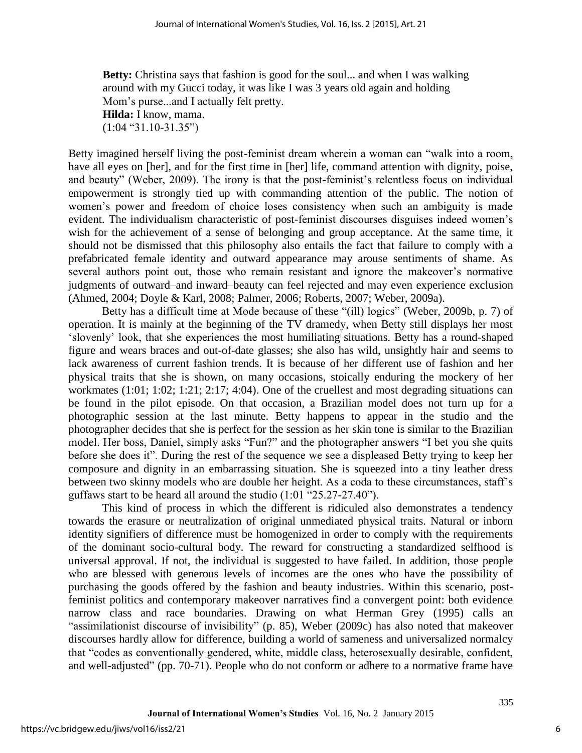**Betty:** Christina says that fashion is good for the soul... and when I was walking around with my Gucci today, it was like I was 3 years old again and holding Mom's purse...and I actually felt pretty.

**Hilda:** I know, mama.  $(1:04$  "31.10-31.35")

Betty imagined herself living the post-feminist dream wherein a woman can "walk into a room, have all eyes on [her], and for the first time in [her] life, command attention with dignity, poise, and beauty" (Weber, 2009). The irony is that the post-feminist's relentless focus on individual empowerment is strongly tied up with commanding attention of the public. The notion of women's power and freedom of choice loses consistency when such an ambiguity is made evident. The individualism characteristic of post-feminist discourses disguises indeed women's wish for the achievement of a sense of belonging and group acceptance. At the same time, it should not be dismissed that this philosophy also entails the fact that failure to comply with a prefabricated female identity and outward appearance may arouse sentiments of shame. As several authors point out, those who remain resistant and ignore the makeover's normative judgments of outward–and inward–beauty can feel rejected and may even experience exclusion [\(Ahmed, 2004;](#page-15-10) [Doyle & Karl, 2008;](#page-15-11) [Palmer, 2006;](#page-16-8) [Roberts, 2007;](#page-16-1) [Weber, 2009a\)](#page-16-3).

Betty has a difficult time at Mode because of these "(ill) logics" [\(Weber, 2009b, p. 7\)](#page-16-0) of operation. It is mainly at the beginning of the TV dramedy, when Betty still displays her most 'slovenly' look, that she experiences the most humiliating situations. Betty has a round-shaped figure and wears braces and out-of-date glasses; she also has wild, unsightly hair and seems to lack awareness of current fashion trends. It is because of her different use of fashion and her physical traits that she is shown, on many occasions, stoically enduring the mockery of her workmates (1:01; 1:02; 1:21; 2:17; 4:04). One of the cruellest and most degrading situations can be found in the pilot episode. On that occasion, a Brazilian model does not turn up for a photographic session at the last minute. Betty happens to appear in the studio and the photographer decides that she is perfect for the session as her skin tone is similar to the Brazilian model. Her boss, Daniel, simply asks "Fun?" and the photographer answers "I bet you she quits before she does it". During the rest of the sequence we see a displeased Betty trying to keep her composure and dignity in an embarrassing situation. She is squeezed into a tiny leather dress between two skinny models who are double her height. As a coda to these circumstances, staff's guffaws start to be heard all around the studio (1:01 "25.27-27.40").

This kind of process in which the different is ridiculed also demonstrates a tendency towards the erasure or neutralization of original unmediated physical traits. Natural or inborn identity signifiers of difference must be homogenized in order to comply with the requirements of the dominant socio-cultural body. The reward for constructing a standardized selfhood is universal approval. If not, the individual is suggested to have failed. In addition, those people who are blessed with generous levels of incomes are the ones who have the possibility of purchasing the goods offered by the fashion and beauty industries. Within this scenario, postfeminist politics and contemporary makeover narratives find a convergent point: both evidence narrow class and race boundaries. Drawing on what Herman Grey [\(1995\)](#page-15-12) calls an "assimilationist discourse of invisibility" [\(p. 85\)](#page-15-12), Weber [\(2009c\)](#page-16-2) has also noted that makeover discourses hardly allow for difference, building a world of sameness and universalized normalcy that "codes as conventionally gendered, white, middle class, heterosexually desirable, confident, and well-adjusted" [\(pp. 70-71\)](#page-16-2). People who do not conform or adhere to a normative frame have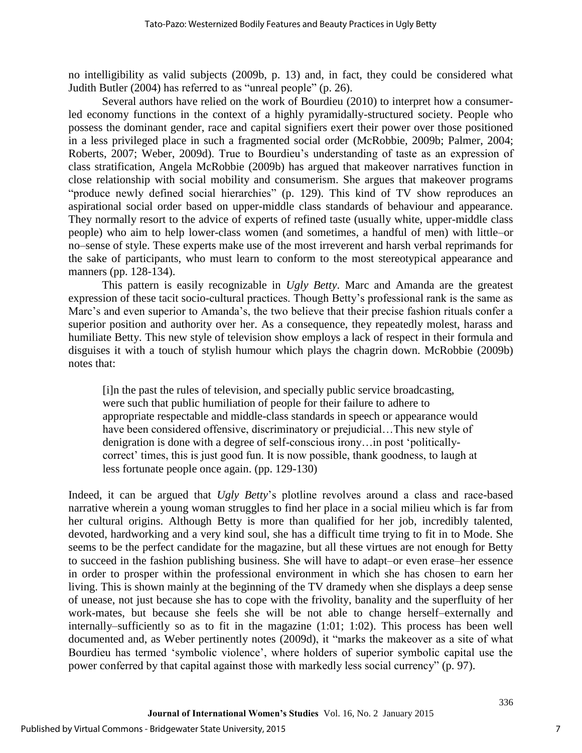no intelligibility as valid subjects [\(2009b, p. 13\)](#page-16-0) and, in fact, they could be considered what Judith Butler [\(2004\)](#page-15-13) has referred to as "unreal people" [\(p. 26\)](#page-15-13).

Several authors have relied on the work of Bourdieu [\(2010\)](#page-15-14) to interpret how a consumerled economy functions in the context of a highly pyramidally-structured society. People who possess the dominant gender, race and capital signifiers exert their power over those positioned in a less privileged place in such a fragmented social order [\(McRobbie, 2009b;](#page-16-9) [Palmer, 2004;](#page-16-10) [Roberts, 2007;](#page-16-1) [Weber, 2009d\)](#page-16-6). True to Bourdieu's understanding of taste as an expression of class stratification, Angela McRobbie [\(2009b\)](#page-16-9) has argued that makeover narratives function in close relationship with social mobility and consumerism. She argues that makeover programs "produce newly defined social hierarchies" [\(p. 129\)](#page-16-9). This kind of TV show reproduces an aspirational social order based on upper-middle class standards of behaviour and appearance. They normally resort to the advice of experts of refined taste (usually white, upper-middle class people) who aim to help lower-class women (and sometimes, a handful of men) with little–or no–sense of style. These experts make use of the most irreverent and harsh verbal reprimands for the sake of participants, who must learn to conform to the most stereotypical appearance and manners [\(pp. 128-134\)](#page-16-9).

This pattern is easily recognizable in *Ugly Betty*. Marc and Amanda are the greatest expression of these tacit socio-cultural practices. Though Betty's professional rank is the same as Marc's and even superior to Amanda's, the two believe that their precise fashion rituals confer a superior position and authority over her. As a consequence, they repeatedly molest, harass and humiliate Betty. This new style of television show employs a lack of respect in their formula and disguises it with a touch of stylish humour which plays the chagrin down. McRobbie [\(2009b\)](#page-16-9) notes that:

[i]n the past the rules of television, and specially public service broadcasting, were such that public humiliation of people for their failure to adhere to appropriate respectable and middle-class standards in speech or appearance would have been considered offensive, discriminatory or prejudicial…This new style of denigration is done with a degree of self-conscious irony…in post 'politicallycorrect' times, this is just good fun. It is now possible, thank goodness, to laugh at less fortunate people once again. [\(pp. 129-130\)](#page-16-9)

Indeed, it can be argued that *Ugly Betty*'s plotline revolves around a class and race-based narrative wherein a young woman struggles to find her place in a social milieu which is far from her cultural origins. Although Betty is more than qualified for her job, incredibly talented, devoted, hardworking and a very kind soul, she has a difficult time trying to fit in to Mode. She seems to be the perfect candidate for the magazine, but all these virtues are not enough for Betty to succeed in the fashion publishing business. She will have to adapt–or even erase–her essence in order to prosper within the professional environment in which she has chosen to earn her living. This is shown mainly at the beginning of the TV dramedy when she displays a deep sense of unease, not just because she has to cope with the frivolity, banality and the superfluity of her work-mates, but because she feels she will be not able to change herself–externally and internally–sufficiently so as to fit in the magazine (1:01; 1:02). This process has been well documented and, as Weber pertinently notes [\(2009d\)](#page-16-6), it "marks the makeover as a site of what Bourdieu has termed 'symbolic violence', where holders of superior symbolic capital use the power conferred by that capital against those with markedly less social currency" [\(p. 97\)](#page-16-6).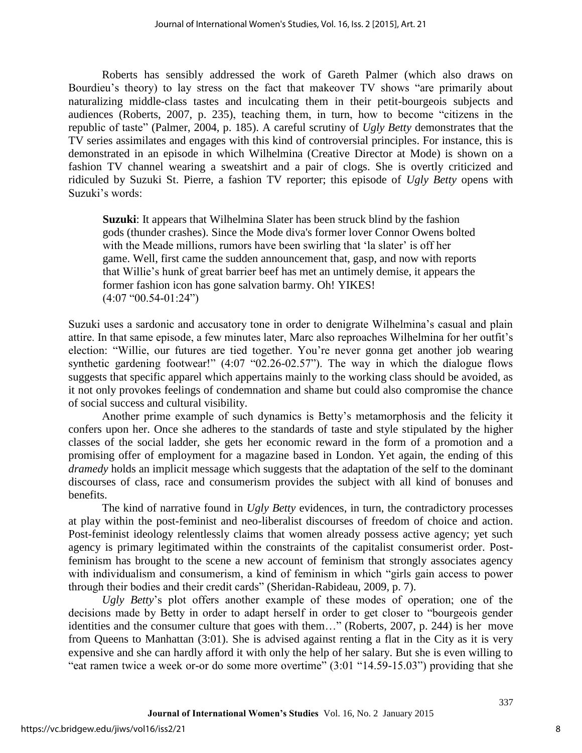Roberts has sensibly addressed the work of Gareth Palmer (which also draws on Bourdieu's theory) to lay stress on the fact that makeover TV shows "are primarily about naturalizing middle-class tastes and inculcating them in their petit-bourgeois subjects and audiences [\(Roberts, 2007, p. 235\)](#page-16-1), teaching them, in turn, how to become "citizens in the republic of taste" [\(Palmer, 2004, p. 185\)](#page-16-10). A careful scrutiny of *Ugly Betty* demonstrates that the TV series assimilates and engages with this kind of controversial principles. For instance, this is demonstrated in an episode in which Wilhelmina (Creative Director at Mode) is shown on a fashion TV channel wearing a sweatshirt and a pair of clogs. She is overtly criticized and ridiculed by Suzuki St. Pierre, a fashion TV reporter; this episode of *Ugly Betty* opens with Suzuki's words:

**Suzuki:** It appears that Wilhelmina Slater has been struck blind by the fashion gods (thunder crashes). Since the Mode diva's former lover Connor Owens bolted with the Meade millions, rumors have been swirling that 'la slater' is off her game. Well, first came the sudden announcement that, gasp, and now with reports that Willie's hunk of great barrier beef has met an untimely demise, it appears the former fashion icon has gone salvation barmy. Oh! YIKES! (4:07 "00.54-01:24")

Suzuki uses a sardonic and accusatory tone in order to denigrate Wilhelmina's casual and plain attire. In that same episode, a few minutes later, Marc also reproaches Wilhelmina for her outfit's election: "Willie, our futures are tied together. You're never gonna get another job wearing synthetic gardening footwear!"  $(4.07 \text{ } ^{\circ}02.26-02.57)$ ". The way in which the dialogue flows suggests that specific apparel which appertains mainly to the working class should be avoided, as it not only provokes feelings of condemnation and shame but could also compromise the chance of social success and cultural visibility.

Another prime example of such dynamics is Betty's metamorphosis and the felicity it confers upon her. Once she adheres to the standards of taste and style stipulated by the higher classes of the social ladder, she gets her economic reward in the form of a promotion and a promising offer of employment for a magazine based in London. Yet again, the ending of this *dramedy* holds an implicit message which suggests that the adaptation of the self to the dominant discourses of class, race and consumerism provides the subject with all kind of bonuses and benefits.

The kind of narrative found in *Ugly Betty* evidences, in turn, the contradictory processes at play within the post-feminist and neo-liberalist discourses of freedom of choice and action. Post-feminist ideology relentlessly claims that women already possess active agency; yet such agency is primary legitimated within the constraints of the capitalist consumerist order. Postfeminism has brought to the scene a new account of feminism that strongly associates agency with individualism and consumerism, a kind of feminism in which "girls gain access to power through their bodies and their credit cards" [\(Sheridan-Rabideau, 2009, p. 7\)](#page-16-11).

*Ugly Betty*'s plot offers another example of these modes of operation; one of the decisions made by Betty in order to adapt herself in order to get closer to "bourgeois gender identities and the consumer culture that goes with them…" [\(Roberts, 2007, p. 244\)](#page-16-1) is her move from Queens to Manhattan (3:01). She is advised against renting a flat in the City as it is very expensive and she can hardly afford it with only the help of her salary. But she is even willing to "eat ramen twice a week or-or do some more overtime" (3:01 "14.59-15.03") providing that she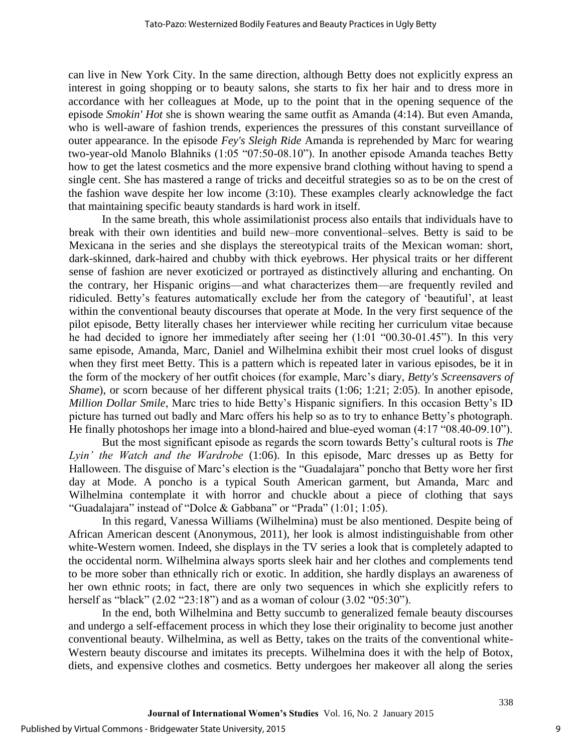can live in New York City. In the same direction, although Betty does not explicitly express an interest in going shopping or to beauty salons, she starts to fix her hair and to dress more in accordance with her colleagues at Mode, up to the point that in the opening sequence of the episode *Smokin' Hot* she is shown wearing the same outfit as Amanda (4:14). But even Amanda, who is well-aware of fashion trends, experiences the pressures of this constant surveillance of outer appearance. In the episode *Fey's Sleigh Ride* Amanda is reprehended by Marc for wearing two-year-old Manolo Blahniks (1:05 "07:50-08.10"). In another episode Amanda teaches Betty how to get the latest cosmetics and the more expensive brand clothing without having to spend a single cent. She has mastered a range of tricks and deceitful strategies so as to be on the crest of the fashion wave despite her low income (3:10). These examples clearly acknowledge the fact that maintaining specific beauty standards is hard work in itself.

In the same breath, this whole assimilationist process also entails that individuals have to break with their own identities and build new–more conventional–selves. Betty is said to be Mexicana in the series and she displays the stereotypical traits of the Mexican woman: short, dark-skinned, dark-haired and chubby with thick eyebrows. Her physical traits or her different sense of fashion are never exoticized or portrayed as distinctively alluring and enchanting. On the contrary, her Hispanic origins—and what characterizes them—are frequently reviled and ridiculed. Betty's features automatically exclude her from the category of 'beautiful', at least within the conventional beauty discourses that operate at Mode. In the very first sequence of the pilot episode, Betty literally chases her interviewer while reciting her curriculum vitae because he had decided to ignore her immediately after seeing her (1:01 "00.30-01.45"). In this very same episode, Amanda, Marc, Daniel and Wilhelmina exhibit their most cruel looks of disgust when they first meet Betty. This is a pattern which is repeated later in various episodes, be it in the form of the mockery of her outfit choices (for example, Marc's diary, *Betty's Screensavers of Shame*), or scorn because of her different physical traits (1:06; 1:21; 2:05). In another episode, *Million Dollar Smile*, Marc tries to hide Betty's Hispanic signifiers. In this occasion Betty's ID picture has turned out badly and Marc offers his help so as to try to enhance Betty's photograph. He finally photoshops her image into a blond-haired and blue-eyed woman (4:17 "08.40-09.10").

But the most significant episode as regards the scorn towards Betty's cultural roots is *The Lyin' the Watch and the Wardrobe* (1:06). In this episode, Marc dresses up as Betty for Halloween. The disguise of Marc's election is the "Guadalajara" poncho that Betty wore her first day at Mode. A poncho is a typical South American garment, but Amanda, Marc and Wilhelmina contemplate it with horror and chuckle about a piece of clothing that says "Guadalajara" instead of "Dolce & Gabbana" or "Prada" (1:01; 1:05).

In this regard, Vanessa Williams (Wilhelmina) must be also mentioned. Despite being of African American descent [\(Anonymous, 2011\)](#page-15-15), her look is almost indistinguishable from other white-Western women. Indeed, she displays in the TV series a look that is completely adapted to the occidental norm. Wilhelmina always sports sleek hair and her clothes and complements tend to be more sober than ethnically rich or exotic. In addition, she hardly displays an awareness of her own ethnic roots; in fact, there are only two sequences in which she explicitly refers to herself as "black" (2.02 "23:18") and as a woman of colour (3.02 "05:30").

In the end, both Wilhelmina and Betty succumb to generalized female beauty discourses and undergo a self-effacement process in which they lose their originality to become just another conventional beauty. Wilhelmina, as well as Betty, takes on the traits of the conventional white-Western beauty discourse and imitates its precepts. Wilhelmina does it with the help of Botox, diets, and expensive clothes and cosmetics. Betty undergoes her makeover all along the series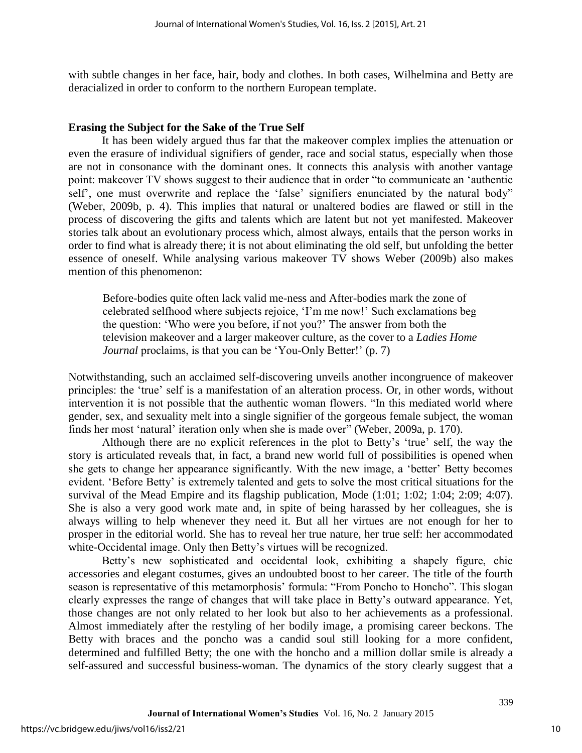with subtle changes in her face, hair, body and clothes. In both cases, Wilhelmina and Betty are deracialized in order to conform to the northern European template.

#### **Erasing the Subject for the Sake of the True Self**

It has been widely argued thus far that the makeover complex implies the attenuation or even the erasure of individual signifiers of gender, race and social status, especially when those are not in consonance with the dominant ones. It connects this analysis with another vantage point: makeover TV shows suggest to their audience that in order "to communicate an 'authentic self', one must overwrite and replace the 'false' signifiers enunciated by the natural body" [\(Weber, 2009b, p. 4\)](#page-16-0). This implies that natural or unaltered bodies are flawed or still in the process of discovering the gifts and talents which are latent but not yet manifested. Makeover stories talk about an evolutionary process which, almost always, entails that the person works in order to find what is already there; it is not about eliminating the old self, but unfolding the better essence of oneself. While analysing various makeover TV shows Weber [\(2009b\)](#page-16-0) also makes mention of this phenomenon:

Before-bodies quite often lack valid me-ness and After-bodies mark the zone of celebrated selfhood where subjects rejoice, 'I'm me now!' Such exclamations beg the question: 'Who were you before, if not you?' The answer from both the television makeover and a larger makeover culture, as the cover to a *Ladies Home Journal* proclaims, is that you can be 'You-Only Better!' [\(p. 7\)](#page-16-0)

Notwithstanding, such an acclaimed self-discovering unveils another incongruence of makeover principles: the 'true' self is a manifestation of an alteration process. Or, in other words, without intervention it is not possible that the authentic woman flowers. "In this mediated world where gender, sex, and sexuality melt into a single signifier of the gorgeous female subject, the woman finds her most 'natural' iteration only when she is made over" [\(Weber, 2009a, p. 170\)](#page-16-3).

Although there are no explicit references in the plot to Betty's 'true' self, the way the story is articulated reveals that, in fact, a brand new world full of possibilities is opened when she gets to change her appearance significantly. With the new image, a 'better' Betty becomes evident. 'Before Betty' is extremely talented and gets to solve the most critical situations for the survival of the Mead Empire and its flagship publication, Mode  $(1:01; 1:02; 1:04; 2:09; 4:07)$ . She is also a very good work mate and, in spite of being harassed by her colleagues, she is always willing to help whenever they need it. But all her virtues are not enough for her to prosper in the editorial world. She has to reveal her true nature, her true self: her accommodated white-Occidental image. Only then Betty's virtues will be recognized.

Betty's new sophisticated and occidental look, exhibiting a shapely figure, chic accessories and elegant costumes, gives an undoubted boost to her career. The title of the fourth season is representative of this metamorphosis' formula: "From Poncho to Honcho". This slogan clearly expresses the range of changes that will take place in Betty's outward appearance. Yet, those changes are not only related to her look but also to her achievements as a professional. Almost immediately after the restyling of her bodily image, a promising career beckons. The Betty with braces and the poncho was a candid soul still looking for a more confident, determined and fulfilled Betty; the one with the honcho and a million dollar smile is already a self-assured and successful business-woman. The dynamics of the story clearly suggest that a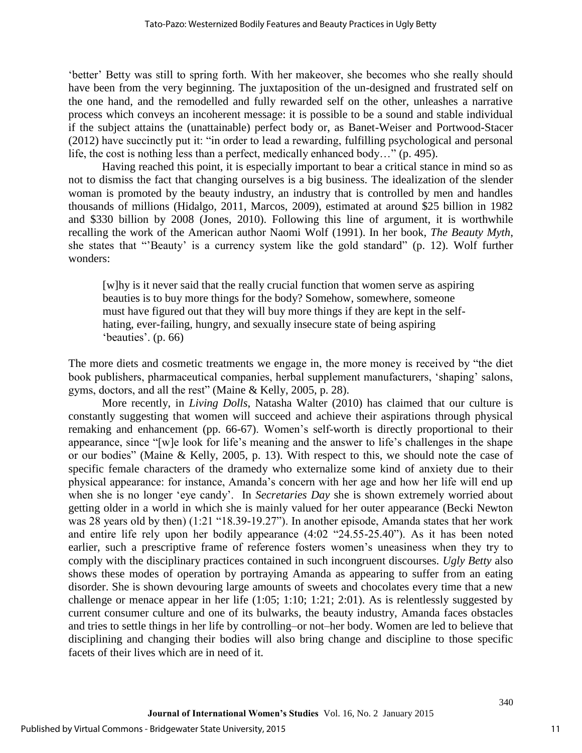'better' Betty was still to spring forth. With her makeover, she becomes who she really should have been from the very beginning. The juxtaposition of the un-designed and frustrated self on the one hand, and the remodelled and fully rewarded self on the other, unleashes a narrative process which conveys an incoherent message: it is possible to be a sound and stable individual if the subject attains the (unattainable) perfect body or, as Banet-Weiser and Portwood-Stacer [\(2012\)](#page-15-7) have succinctly put it: "in order to lead a rewarding, fulfilling psychological and personal life, the cost is nothing less than a perfect, medically enhanced body…" [\(p. 495\)](#page-15-7).

Having reached this point, it is especially important to bear a critical stance in mind so as not to dismiss the fact that changing ourselves is a big business. The idealization of the slender woman is promoted by the beauty industry, an industry that is controlled by men and handles thousands of millions (Hidalgo, 2011, Marcos, 2009), estimated at around \$25 billion in 1982 and \$330 billion by 2008 (Jones, 2010). Following this line of argument, it is worthwhile recalling the work of the American author Naomi Wolf [\(1991\)](#page-16-12). In her book, *The Beauty Myth*, she states that "'Beauty' is a currency system like the gold standard" [\(p. 12\)](#page-16-13). Wolf further wonders:

[w]hy is it never said that the really crucial function that women serve as aspiring beauties is to buy more things for the body? Somehow, somewhere, someone must have figured out that they will buy more things if they are kept in the selfhating, ever-failing, hungry, and sexually insecure state of being aspiring 'beauties'. [\(p. 66\)](#page-16-13)

The more diets and cosmetic treatments we engage in, the more money is received by "the diet book publishers, pharmaceutical companies, herbal supplement manufacturers, 'shaping' salons, gyms, doctors, and all the rest" [\(Maine & Kelly, 2005, p. 28\)](#page-15-16).

More recently, in *Living Dolls*, Natasha Walter [\(2010\)](#page-16-14) has claimed that our culture is constantly suggesting that women will succeed and achieve their aspirations through physical remaking and enhancement [\(pp. 66-67\)](#page-16-14). Women's self-worth is directly proportional to their appearance, since "[w]e look for life's meaning and the answer to life's challenges in the shape or our bodies" [\(Maine & Kelly, 2005, p. 13\)](#page-15-16). With respect to this, we should note the case of specific female characters of the dramedy who externalize some kind of anxiety due to their physical appearance: for instance, Amanda's concern with her age and how her life will end up when she is no longer 'eye candy'. In *Secretaries Day* she is shown extremely worried about getting older in a world in which she is mainly valued for her outer appearance (Becki Newton was 28 years old by then) (1:21 "18.39-19.27"). In another episode, Amanda states that her work and entire life rely upon her bodily appearance (4:02 "24.55-25.40"). As it has been noted earlier, such a prescriptive frame of reference fosters women's uneasiness when they try to comply with the disciplinary practices contained in such incongruent discourses. *Ugly Betty* also shows these modes of operation by portraying Amanda as appearing to suffer from an eating disorder. She is shown devouring large amounts of sweets and chocolates every time that a new challenge or menace appear in her life (1:05; 1:10; 1:21; 2:01). As is relentlessly suggested by current consumer culture and one of its bulwarks, the beauty industry, Amanda faces obstacles and tries to settle things in her life by controlling–or not–her body. Women are led to believe that disciplining and changing their bodies will also bring change and discipline to those specific facets of their lives which are in need of it.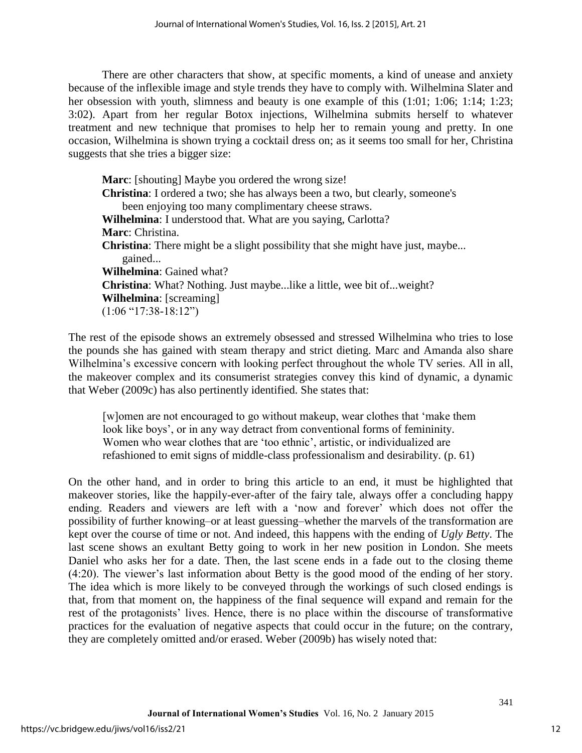There are other characters that show, at specific moments, a kind of unease and anxiety because of the inflexible image and style trends they have to comply with. Wilhelmina Slater and her obsession with youth, slimness and beauty is one example of this (1:01; 1:06; 1:14; 1:23; 3:02). Apart from her regular Botox injections, Wilhelmina submits herself to whatever treatment and new technique that promises to help her to remain young and pretty. In one occasion, Wilhelmina is shown trying a cocktail dress on; as it seems too small for her, Christina suggests that she tries a bigger size:

**Marc**: [shouting] Maybe you ordered the wrong size! **Christina**: I ordered a two; she has always been a two, but clearly, someone's been enjoying too many complimentary cheese straws. **Wilhelmina**: I understood that. What are you saying, Carlotta? **Marc**: Christina. **Christina**: There might be a slight possibility that she might have just, maybe... gained... **Wilhelmina**: Gained what? **Christina**: What? Nothing. Just maybe...like a little, wee bit of...weight? **Wilhelmina**: [screaming] (1:06 "17:38-18:12")

The rest of the episode shows an extremely obsessed and stressed Wilhelmina who tries to lose the pounds she has gained with steam therapy and strict dieting. Marc and Amanda also share Wilhelmina's excessive concern with looking perfect throughout the whole TV series. All in all, the makeover complex and its consumerist strategies convey this kind of dynamic, a dynamic that Weber [\(2009c\)](#page-16-2) has also pertinently identified. She states that:

[w]omen are not encouraged to go without makeup, wear clothes that 'make them look like boys', or in any way detract from conventional forms of femininity. Women who wear clothes that are 'too ethnic', artistic, or individualized are refashioned to emit signs of middle-class professionalism and desirability. [\(p. 61\)](#page-16-2)

On the other hand, and in order to bring this article to an end, it must be highlighted that makeover stories, like the happily-ever-after of the fairy tale, always offer a concluding happy ending. Readers and viewers are left with a 'now and forever' which does not offer the possibility of further knowing–or at least guessing–whether the marvels of the transformation are kept over the course of time or not. And indeed, this happens with the ending of *Ugly Betty*. The last scene shows an exultant Betty going to work in her new position in London. She meets Daniel who asks her for a date. Then, the last scene ends in a fade out to the closing theme (4:20). The viewer's last information about Betty is the good mood of the ending of her story. The idea which is more likely to be conveyed through the workings of such closed endings is that, from that moment on, the happiness of the final sequence will expand and remain for the rest of the protagonists' lives. Hence, there is no place within the discourse of transformative practices for the evaluation of negative aspects that could occur in the future; on the contrary, they are completely omitted and/or erased. Weber [\(2009b\)](#page-16-0) has wisely noted that: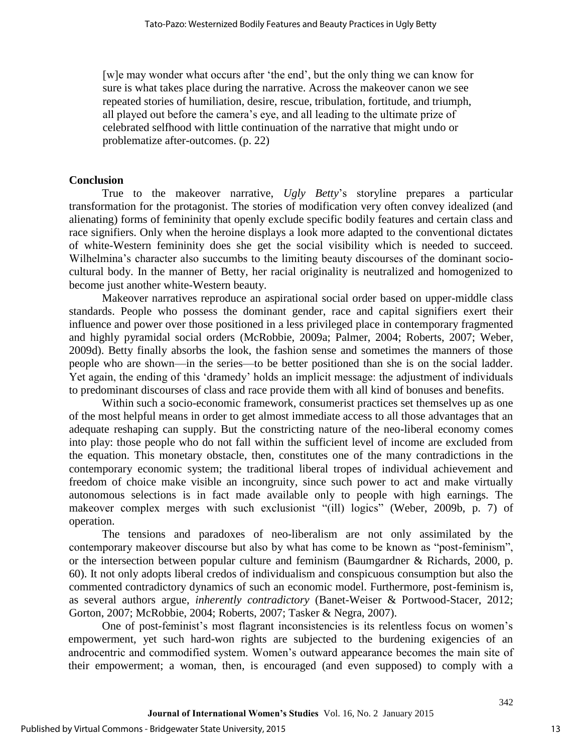[w]e may wonder what occurs after 'the end', but the only thing we can know for sure is what takes place during the narrative. Across the makeover canon we see repeated stories of humiliation, desire, rescue, tribulation, fortitude, and triumph, all played out before the camera's eye, and all leading to the ultimate prize of celebrated selfhood with little continuation of the narrative that might undo or problematize after-outcomes. [\(p. 22\)](#page-16-0)

#### **Conclusion**

True to the makeover narrative, *Ugly Betty*'s storyline prepares a particular transformation for the protagonist. The stories of modification very often convey idealized (and alienating) forms of femininity that openly exclude specific bodily features and certain class and race signifiers. Only when the heroine displays a look more adapted to the conventional dictates of white-Western femininity does she get the social visibility which is needed to succeed. Wilhelmina's character also succumbs to the limiting beauty discourses of the dominant sociocultural body. In the manner of Betty, her racial originality is neutralized and homogenized to become just another white-Western beauty.

Makeover narratives reproduce an aspirational social order based on upper-middle class standards. People who possess the dominant gender, race and capital signifiers exert their influence and power over those positioned in a less privileged place in contemporary fragmented and highly pyramidal social orders [\(McRobbie, 2009a;](#page-15-17) [Palmer, 2004;](#page-16-10) [Roberts, 2007;](#page-16-1) [Weber,](#page-16-6)  [2009d\)](#page-16-6). Betty finally absorbs the look, the fashion sense and sometimes the manners of those people who are shown—in the series—to be better positioned than she is on the social ladder. Yet again, the ending of this 'dramedy' holds an implicit message: the adjustment of individuals to predominant discourses of class and race provide them with all kind of bonuses and benefits.

Within such a socio-economic framework, consumerist practices set themselves up as one of the most helpful means in order to get almost immediate access to all those advantages that an adequate reshaping can supply. But the constricting nature of the neo-liberal economy comes into play: those people who do not fall within the sufficient level of income are excluded from the equation. This monetary obstacle, then, constitutes one of the many contradictions in the contemporary economic system; the traditional liberal tropes of individual achievement and freedom of choice make visible an incongruity, since such power to act and make virtually autonomous selections is in fact made available only to people with high earnings. The makeover complex merges with such exclusionist "(ill) logics" [\(Weber, 2009b, p. 7\)](#page-16-0) of operation.

The tensions and paradoxes of neo-liberalism are not only assimilated by the contemporary makeover discourse but also by what has come to be known as "post-feminism", or the intersection between popular culture and feminism [\(Baumgardner & Richards, 2000, p.](#page-15-18)  [60\)](#page-15-18). It not only adopts liberal credos of individualism and conspicuous consumption but also the commented contradictory dynamics of such an economic model. Furthermore, post-feminism is, as several authors argue, *inherently contradictory* [\(Banet-Weiser & Portwood-Stacer, 2012;](#page-15-7) [Gorton, 2007;](#page-15-8) [McRobbie, 2004;](#page-15-9) [Roberts, 2007;](#page-16-1) [Tasker & Negra, 2007\)](#page-16-15).

One of post-feminist's most flagrant inconsistencies is its relentless focus on women's empowerment, yet such hard-won rights are subjected to the burdening exigencies of an androcentric and commodified system. Women's outward appearance becomes the main site of their empowerment; a woman, then, is encouraged (and even supposed) to comply with a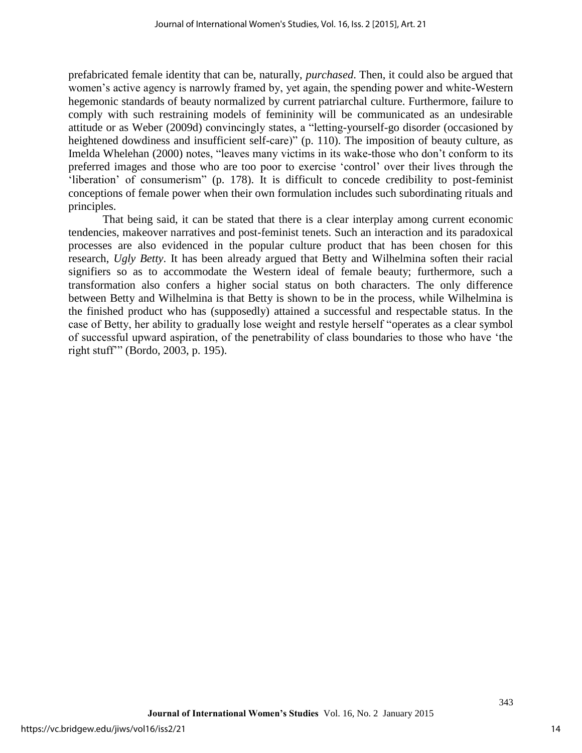prefabricated female identity that can be, naturally, *purchased*. Then, it could also be argued that women's active agency is narrowly framed by, yet again, the spending power and white-Western hegemonic standards of beauty normalized by current patriarchal culture. Furthermore, failure to comply with such restraining models of femininity will be communicated as an undesirable attitude or as Weber [\(2009d\)](#page-16-6) convincingly states, a "letting-yourself-go disorder (occasioned by heightened dowdiness and insufficient self-care)" [\(p. 110\)](#page-16-6). The imposition of beauty culture, as Imelda Whelehan [\(2000\)](#page-16-16) notes, "leaves many victims in its wake-those who don't conform to its preferred images and those who are too poor to exercise 'control' over their lives through the 'liberation' of consumerism" [\(p. 178\)](#page-16-16). It is difficult to concede credibility to post-feminist conceptions of female power when their own formulation includes such subordinating rituals and principles.

That being said, it can be stated that there is a clear interplay among current economic tendencies, makeover narratives and post-feminist tenets. Such an interaction and its paradoxical processes are also evidenced in the popular culture product that has been chosen for this research, *Ugly Betty*. It has been already argued that Betty and Wilhelmina soften their racial signifiers so as to accommodate the Western ideal of female beauty; furthermore, such a transformation also confers a higher social status on both characters. The only difference between Betty and Wilhelmina is that Betty is shown to be in the process, while Wilhelmina is the finished product who has (supposedly) attained a successful and respectable status. In the case of Betty, her ability to gradually lose weight and restyle herself "operates as a clear symbol of successful upward aspiration, of the penetrability of class boundaries to those who have 'the right stuff'" [\(Bordo, 2003, p. 195\)](#page-15-19).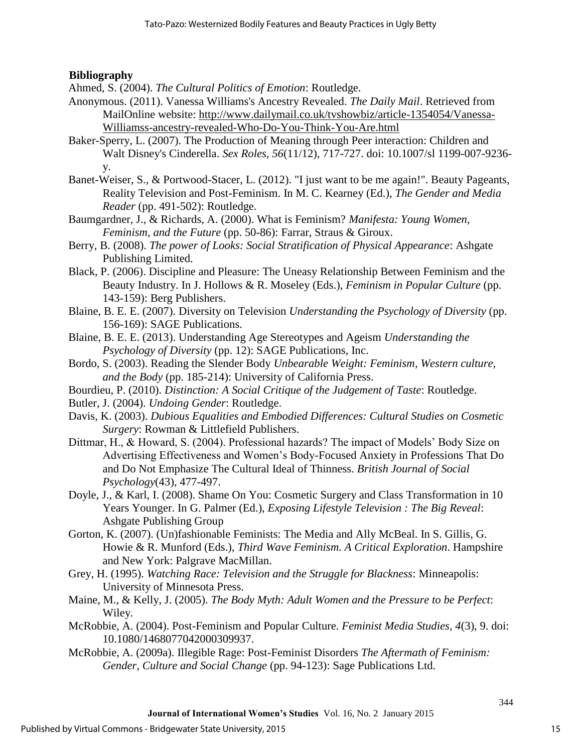### **Bibliography**

<span id="page-15-10"></span>Ahmed, S. (2004). *The Cultural Politics of Emotion*: Routledge.

- <span id="page-15-15"></span>Anonymous. (2011). Vanessa Williams's Ancestry Revealed. *The Daily Mail*. Retrieved from MailOnline website: [http://www.dailymail.co.uk/tvshowbiz/article-1354054/Vanessa-](http://www.dailymail.co.uk/tvshowbiz/article-1354054/Vanessa-Williamss-ancestry-revealed-Who-Do-You-Think-You-Are.html)[Williamss-ancestry-revealed-Who-Do-You-Think-You-Are.html](http://www.dailymail.co.uk/tvshowbiz/article-1354054/Vanessa-Williamss-ancestry-revealed-Who-Do-You-Think-You-Are.html)
- <span id="page-15-6"></span>Baker-Sperry, L. (2007). The Production of Meaning through Peer interaction: Children and Walt Disney's Cinderella. *Sex Roles, 56*(11/12), 717-727. doi: 10.1007/sl 1199-007-9236 y.
- <span id="page-15-7"></span>Banet-Weiser, S., & Portwood-Stacer, L. (2012). "I just want to be me again!". Beauty Pageants, Reality Television and Post-Feminism. In M. C. Kearney (Ed.), *The Gender and Media Reader* (pp. 491-502): Routledge.
- <span id="page-15-18"></span>Baumgardner, J., & Richards, A. (2000). What is Feminism? *Manifesta: Young Women, Feminism, and the Future* (pp. 50-86): Farrar, Straus & Giroux.
- <span id="page-15-2"></span>Berry, B. (2008). *The power of Looks: Social Stratification of Physical Appearance*: Ashgate Publishing Limited.
- <span id="page-15-4"></span>Black, P. (2006). Discipline and Pleasure: The Uneasy Relationship Between Feminism and the Beauty Industry. In J. Hollows & R. Moseley (Eds.), *Feminism in Popular Culture* (pp. 143-159): Berg Publishers.
- <span id="page-15-0"></span>Blaine, B. E. E. (2007). Diversity on Television *Understanding the Psychology of Diversity* (pp. 156-169): SAGE Publications.
- <span id="page-15-1"></span>Blaine, B. E. E. (2013). Understanding Age Stereotypes and Ageism *Understanding the Psychology of Diversity* (pp. 12): SAGE Publications, Inc.
- <span id="page-15-19"></span>Bordo, S. (2003). Reading the Slender Body *Unbearable Weight: Feminism, Western culture, and the Body* (pp. 185-214): University of California Press.
- <span id="page-15-14"></span>Bourdieu, P. (2010). *Distinction: A Social Critique of the Judgement of Taste*: Routledge.
- <span id="page-15-13"></span>Butler, J. (2004). *Undoing Gender*: Routledge.
- <span id="page-15-5"></span>Davis, K. (2003). *Dubious Equalities and Embodied Differences: Cultural Studies on Cosmetic Surgery*: Rowman & Littlefield Publishers.
- <span id="page-15-3"></span>Dittmar, H., & Howard, S. (2004). Professional hazards? The impact of Models' Body Size on Advertising Effectiveness and Women's Body-Focused Anxiety in Professions That Do and Do Not Emphasize The Cultural Ideal of Thinness. *British Journal of Social Psychology*(43), 477-497.
- <span id="page-15-11"></span>Doyle, J., & Karl, I. (2008). Shame On You: Cosmetic Surgery and Class Transformation in 10 Years Younger. In G. Palmer (Ed.), *Exposing Lifestyle Television : The Big Reveal*: Ashgate Publishing Group
- <span id="page-15-8"></span>Gorton, K. (2007). (Un)fashionable Feminists: The Media and Ally McBeal. In S. Gillis, G. Howie & R. Munford (Eds.), *Third Wave Feminism. A Critical Exploration*. Hampshire and New York: Palgrave MacMillan.
- <span id="page-15-12"></span>Grey, H. (1995). *Watching Race: Television and the Struggle for Blackness*: Minneapolis: University of Minnesota Press.
- <span id="page-15-16"></span>Maine, M., & Kelly, J. (2005). *The Body Myth: Adult Women and the Pressure to be Perfect*: Wiley.
- <span id="page-15-9"></span>McRobbie, A. (2004). Post-Feminism and Popular Culture. *Feminist Media Studies, 4*(3), 9. doi: 10.1080/1468077042000309937.
- <span id="page-15-17"></span>McRobbie, A. (2009a). Illegible Rage: Post-Feminist Disorders *The Aftermath of Feminism: Gender, Culture and Social Change* (pp. 94-123): Sage Publications Ltd.